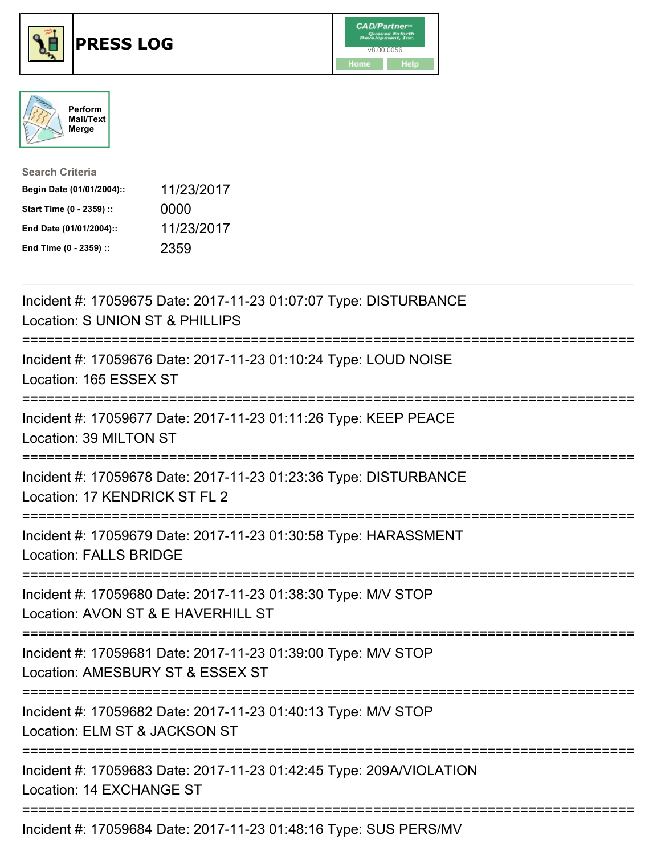





| <b>Search Criteria</b>    |            |
|---------------------------|------------|
| Begin Date (01/01/2004):: | 11/23/2017 |
| Start Time (0 - 2359) ::  | 0000       |
| End Date (01/01/2004)::   | 11/23/2017 |
| End Time (0 - 2359) ::    | 2359       |

| Incident #: 17059675 Date: 2017-11-23 01:07:07 Type: DISTURBANCE<br>Location: S UNION ST & PHILLIPS                     |
|-------------------------------------------------------------------------------------------------------------------------|
| Incident #: 17059676 Date: 2017-11-23 01:10:24 Type: LOUD NOISE<br>Location: 165 ESSEX ST                               |
| Incident #: 17059677 Date: 2017-11-23 01:11:26 Type: KEEP PEACE<br>Location: 39 MILTON ST<br>---------------            |
| Incident #: 17059678 Date: 2017-11-23 01:23:36 Type: DISTURBANCE<br>Location: 17 KENDRICK ST FL 2<br>-------------      |
| Incident #: 17059679 Date: 2017-11-23 01:30:58 Type: HARASSMENT<br><b>Location: FALLS BRIDGE</b><br>;================== |
| Incident #: 17059680 Date: 2017-11-23 01:38:30 Type: M/V STOP<br>Location: AVON ST & E HAVERHILL ST                     |
| Incident #: 17059681 Date: 2017-11-23 01:39:00 Type: M/V STOP<br>Location: AMESBURY ST & ESSEX ST                       |
| Incident #: 17059682 Date: 2017-11-23 01:40:13 Type: M/V STOP<br>Location: ELM ST & JACKSON ST                          |
| Incident #: 17059683 Date: 2017-11-23 01:42:45 Type: 209A/VIOLATION<br>Location: 14 EXCHANGE ST                         |
| Incident #: 17059684 Date: 2017-11-23 01:48:16 Type: SUS PERS/MV                                                        |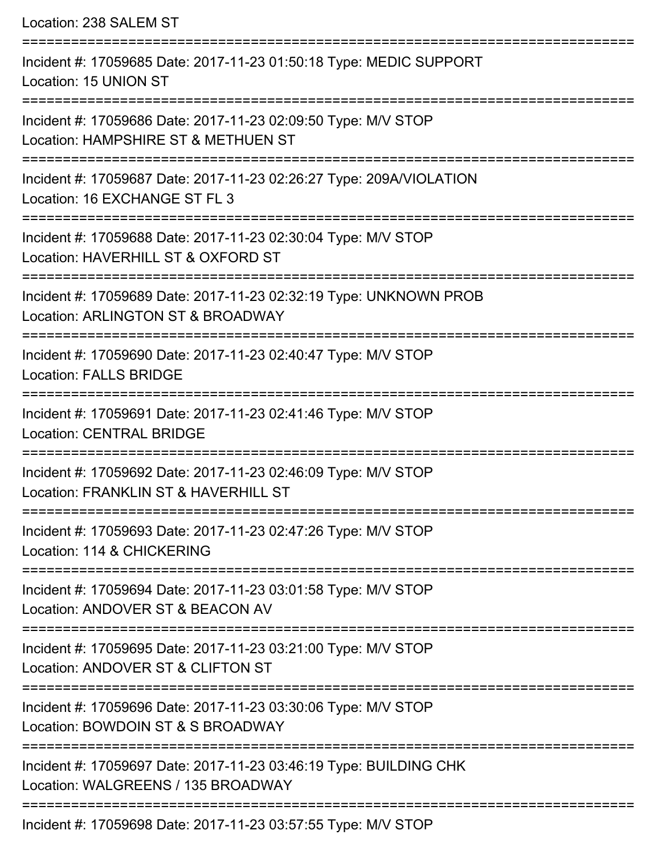| Location: 238 SALEM ST                                                                                                                    |
|-------------------------------------------------------------------------------------------------------------------------------------------|
| Incident #: 17059685 Date: 2017-11-23 01:50:18 Type: MEDIC SUPPORT<br>Location: 15 UNION ST                                               |
| Incident #: 17059686 Date: 2017-11-23 02:09:50 Type: M/V STOP<br>Location: HAMPSHIRE ST & METHUEN ST                                      |
| Incident #: 17059687 Date: 2017-11-23 02:26:27 Type: 209A/VIOLATION<br>Location: 16 EXCHANGE ST FL 3                                      |
| Incident #: 17059688 Date: 2017-11-23 02:30:04 Type: M/V STOP<br>Location: HAVERHILL ST & OXFORD ST                                       |
| :==============================<br>Incident #: 17059689 Date: 2017-11-23 02:32:19 Type: UNKNOWN PROB<br>Location: ARLINGTON ST & BROADWAY |
| Incident #: 17059690 Date: 2017-11-23 02:40:47 Type: M/V STOP<br><b>Location: FALLS BRIDGE</b>                                            |
| Incident #: 17059691 Date: 2017-11-23 02:41:46 Type: M/V STOP<br><b>Location: CENTRAL BRIDGE</b>                                          |
| --------------------<br>Incident #: 17059692 Date: 2017-11-23 02:46:09 Type: M/V STOP<br>Location: FRANKLIN ST & HAVERHILL ST             |
| Incident #: 17059693 Date: 2017-11-23 02:47:26 Type: M/V STOP<br>Location: 114 & CHICKERING                                               |
| Incident #: 17059694 Date: 2017-11-23 03:01:58 Type: M/V STOP<br>Location: ANDOVER ST & BEACON AV                                         |
| Incident #: 17059695 Date: 2017-11-23 03:21:00 Type: M/V STOP<br>Location: ANDOVER ST & CLIFTON ST                                        |
| Incident #: 17059696 Date: 2017-11-23 03:30:06 Type: M/V STOP<br>Location: BOWDOIN ST & S BROADWAY                                        |
| Incident #: 17059697 Date: 2017-11-23 03:46:19 Type: BUILDING CHK<br>Location: WALGREENS / 135 BROADWAY                                   |
| Incident #: 17059698 Date: 2017-11-23 03:57:55 Type: M/V STOP                                                                             |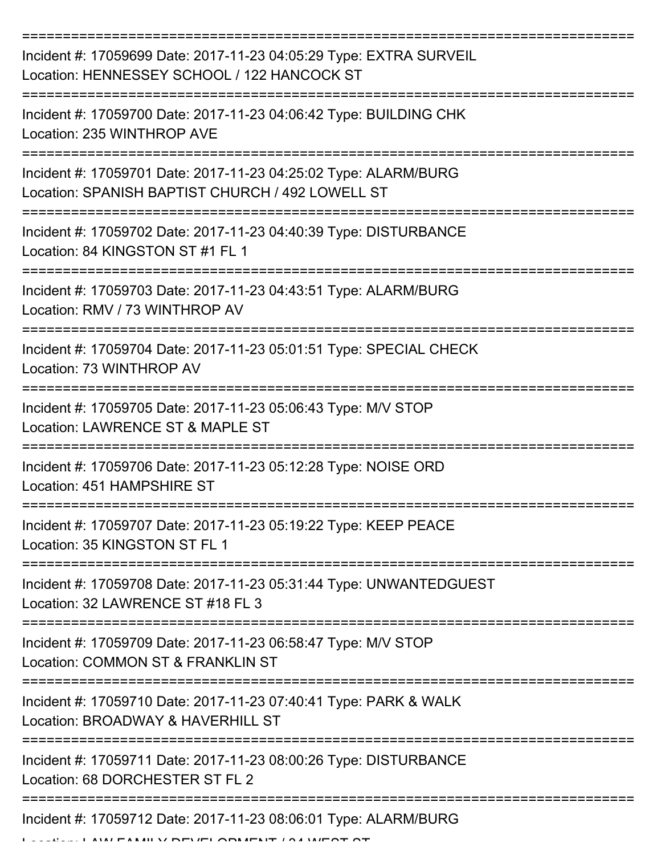| Incident #: 17059699 Date: 2017-11-23 04:05:29 Type: EXTRA SURVEIL<br>Location: HENNESSEY SCHOOL / 122 HANCOCK ST   |
|---------------------------------------------------------------------------------------------------------------------|
| Incident #: 17059700 Date: 2017-11-23 04:06:42 Type: BUILDING CHK<br>Location: 235 WINTHROP AVE                     |
| Incident #: 17059701 Date: 2017-11-23 04:25:02 Type: ALARM/BURG<br>Location: SPANISH BAPTIST CHURCH / 492 LOWELL ST |
| Incident #: 17059702 Date: 2017-11-23 04:40:39 Type: DISTURBANCE<br>Location: 84 KINGSTON ST #1 FL 1                |
| Incident #: 17059703 Date: 2017-11-23 04:43:51 Type: ALARM/BURG<br>Location: RMV / 73 WINTHROP AV                   |
| Incident #: 17059704 Date: 2017-11-23 05:01:51 Type: SPECIAL CHECK<br>Location: 73 WINTHROP AV                      |
| Incident #: 17059705 Date: 2017-11-23 05:06:43 Type: M/V STOP<br>Location: LAWRENCE ST & MAPLE ST                   |
| Incident #: 17059706 Date: 2017-11-23 05:12:28 Type: NOISE ORD<br>Location: 451 HAMPSHIRE ST                        |
| Incident #: 17059707 Date: 2017-11-23 05:19:22 Type: KEEP PEACE<br>Location: 35 KINGSTON ST FL 1                    |
| Incident #: 17059708 Date: 2017-11-23 05:31:44 Type: UNWANTEDGUEST<br>Location: 32 LAWRENCE ST #18 FL 3             |
| Incident #: 17059709 Date: 2017-11-23 06:58:47 Type: M/V STOP<br>Location: COMMON ST & FRANKLIN ST                  |
| Incident #: 17059710 Date: 2017-11-23 07:40:41 Type: PARK & WALK<br>Location: BROADWAY & HAVERHILL ST               |
| Incident #: 17059711 Date: 2017-11-23 08:00:26 Type: DISTURBANCE<br>Location: 68 DORCHESTER ST FL 2                 |
| Incident #: 17059712 Date: 2017-11-23 08:06:01 Type: ALARM/BURG                                                     |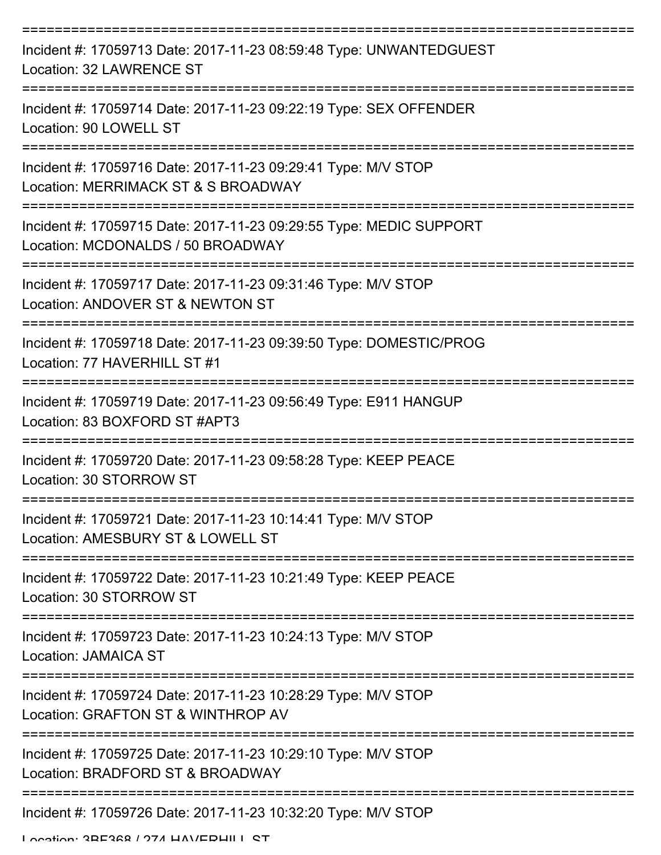| Incident #: 17059713 Date: 2017-11-23 08:59:48 Type: UNWANTEDGUEST<br><b>Location: 32 LAWRENCE ST</b>   |
|---------------------------------------------------------------------------------------------------------|
| Incident #: 17059714 Date: 2017-11-23 09:22:19 Type: SEX OFFENDER<br>Location: 90 LOWELL ST             |
| Incident #: 17059716 Date: 2017-11-23 09:29:41 Type: M/V STOP<br>Location: MERRIMACK ST & S BROADWAY    |
| Incident #: 17059715 Date: 2017-11-23 09:29:55 Type: MEDIC SUPPORT<br>Location: MCDONALDS / 50 BROADWAY |
| Incident #: 17059717 Date: 2017-11-23 09:31:46 Type: M/V STOP<br>Location: ANDOVER ST & NEWTON ST       |
| Incident #: 17059718 Date: 2017-11-23 09:39:50 Type: DOMESTIC/PROG<br>Location: 77 HAVERHILL ST #1      |
| Incident #: 17059719 Date: 2017-11-23 09:56:49 Type: E911 HANGUP<br>Location: 83 BOXFORD ST #APT3       |
| Incident #: 17059720 Date: 2017-11-23 09:58:28 Type: KEEP PEACE<br>Location: 30 STORROW ST              |
| Incident #: 17059721 Date: 2017-11-23 10:14:41 Type: M/V STOP<br>Location: AMESBURY ST & LOWELL ST      |
| Incident #: 17059722 Date: 2017-11-23 10:21:49 Type: KEEP PEACE<br>Location: 30 STORROW ST              |
| Incident #: 17059723 Date: 2017-11-23 10:24:13 Type: M/V STOP<br><b>Location: JAMAICA ST</b>            |
| Incident #: 17059724 Date: 2017-11-23 10:28:29 Type: M/V STOP<br>Location: GRAFTON ST & WINTHROP AV     |
| Incident #: 17059725 Date: 2017-11-23 10:29:10 Type: M/V STOP<br>Location: BRADFORD ST & BROADWAY       |
| Incident #: 17059726 Date: 2017-11-23 10:32:20 Type: M/V STOP<br>I ocotion: 2DE2GQ / 074 HAV/EDHII I CT |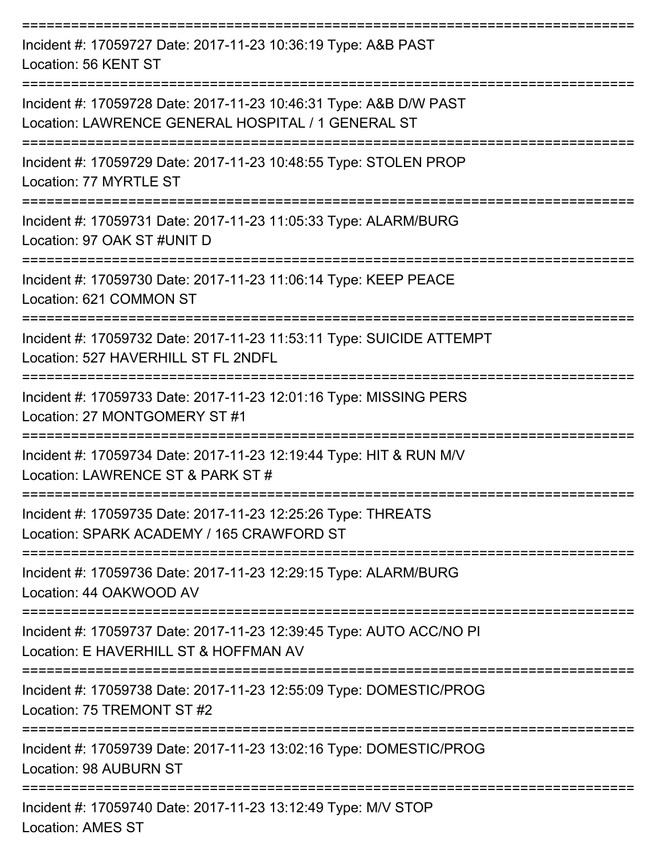| Incident #: 17059727 Date: 2017-11-23 10:36:19 Type: A&B PAST<br>Location: 56 KENT ST                                   |
|-------------------------------------------------------------------------------------------------------------------------|
| Incident #: 17059728 Date: 2017-11-23 10:46:31 Type: A&B D/W PAST<br>Location: LAWRENCE GENERAL HOSPITAL / 1 GENERAL ST |
| Incident #: 17059729 Date: 2017-11-23 10:48:55 Type: STOLEN PROP<br>Location: 77 MYRTLE ST                              |
| Incident #: 17059731 Date: 2017-11-23 11:05:33 Type: ALARM/BURG<br>Location: 97 OAK ST #UNIT D                          |
| Incident #: 17059730 Date: 2017-11-23 11:06:14 Type: KEEP PEACE<br>Location: 621 COMMON ST                              |
| Incident #: 17059732 Date: 2017-11-23 11:53:11 Type: SUICIDE ATTEMPT<br>Location: 527 HAVERHILL ST FL 2NDFL             |
| Incident #: 17059733 Date: 2017-11-23 12:01:16 Type: MISSING PERS<br>Location: 27 MONTGOMERY ST #1                      |
| Incident #: 17059734 Date: 2017-11-23 12:19:44 Type: HIT & RUN M/V<br>Location: LAWRENCE ST & PARK ST #                 |
| Incident #: 17059735 Date: 2017-11-23 12:25:26 Type: THREATS<br>Location: SPARK ACADEMY / 165 CRAWFORD ST               |
| Incident #: 17059736 Date: 2017-11-23 12:29:15 Type: ALARM/BURG<br>Location: 44 OAKWOOD AV                              |
| Incident #: 17059737 Date: 2017-11-23 12:39:45 Type: AUTO ACC/NO PI<br>Location: E HAVERHILL ST & HOFFMAN AV            |
| Incident #: 17059738 Date: 2017-11-23 12:55:09 Type: DOMESTIC/PROG<br>Location: 75 TREMONT ST #2                        |
| Incident #: 17059739 Date: 2017-11-23 13:02:16 Type: DOMESTIC/PROG<br>Location: 98 AUBURN ST                            |
| Incident #: 17059740 Date: 2017-11-23 13:12:49 Type: M/V STOP<br><b>Location: AMES ST</b>                               |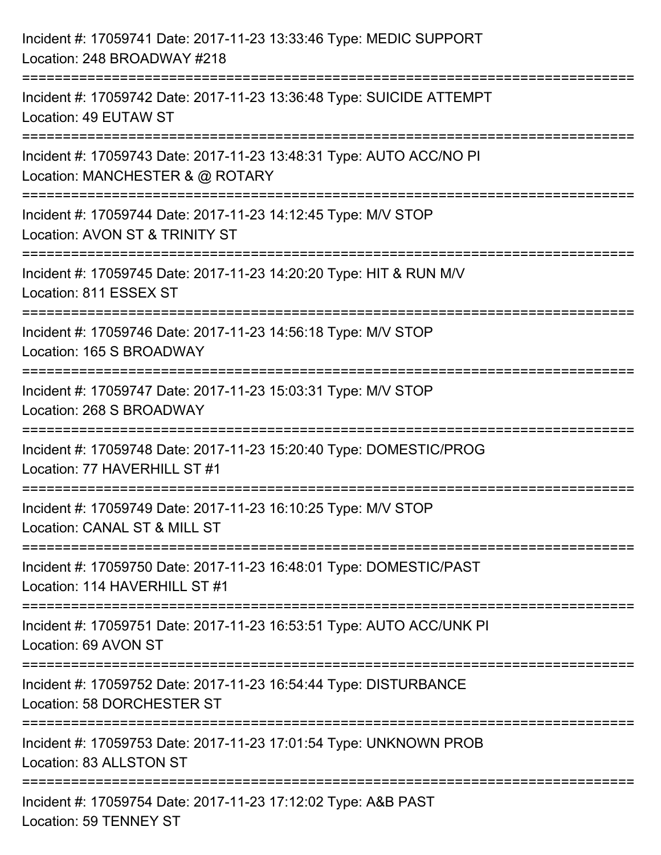| Incident #: 17059741 Date: 2017-11-23 13:33:46 Type: MEDIC SUPPORT<br>Location: 248 BROADWAY #218                              |
|--------------------------------------------------------------------------------------------------------------------------------|
| Incident #: 17059742 Date: 2017-11-23 13:36:48 Type: SUICIDE ATTEMPT<br>Location: 49 EUTAW ST                                  |
| Incident #: 17059743 Date: 2017-11-23 13:48:31 Type: AUTO ACC/NO PI<br>Location: MANCHESTER & @ ROTARY                         |
| Incident #: 17059744 Date: 2017-11-23 14:12:45 Type: M/V STOP<br>Location: AVON ST & TRINITY ST                                |
| Incident #: 17059745 Date: 2017-11-23 14:20:20 Type: HIT & RUN M/V<br>Location: 811 ESSEX ST                                   |
| :================================<br>Incident #: 17059746 Date: 2017-11-23 14:56:18 Type: M/V STOP<br>Location: 165 S BROADWAY |
| Incident #: 17059747 Date: 2017-11-23 15:03:31 Type: M/V STOP<br>Location: 268 S BROADWAY                                      |
| Incident #: 17059748 Date: 2017-11-23 15:20:40 Type: DOMESTIC/PROG<br>Location: 77 HAVERHILL ST #1                             |
| Incident #: 17059749 Date: 2017-11-23 16:10:25 Type: M/V STOP<br>Location: CANAL ST & MILL ST                                  |
| Incident #: 17059750 Date: 2017-11-23 16:48:01 Type: DOMESTIC/PAST<br>Location: 114 HAVERHILL ST #1                            |
| Incident #: 17059751 Date: 2017-11-23 16:53:51 Type: AUTO ACC/UNK PI<br>Location: 69 AVON ST                                   |
| Incident #: 17059752 Date: 2017-11-23 16:54:44 Type: DISTURBANCE<br>Location: 58 DORCHESTER ST                                 |
| Incident #: 17059753 Date: 2017-11-23 17:01:54 Type: UNKNOWN PROB<br>Location: 83 ALLSTON ST                                   |
| Incident #: 17059754 Date: 2017-11-23 17:12:02 Type: A&B PAST<br>Location: 59 TENNEY ST                                        |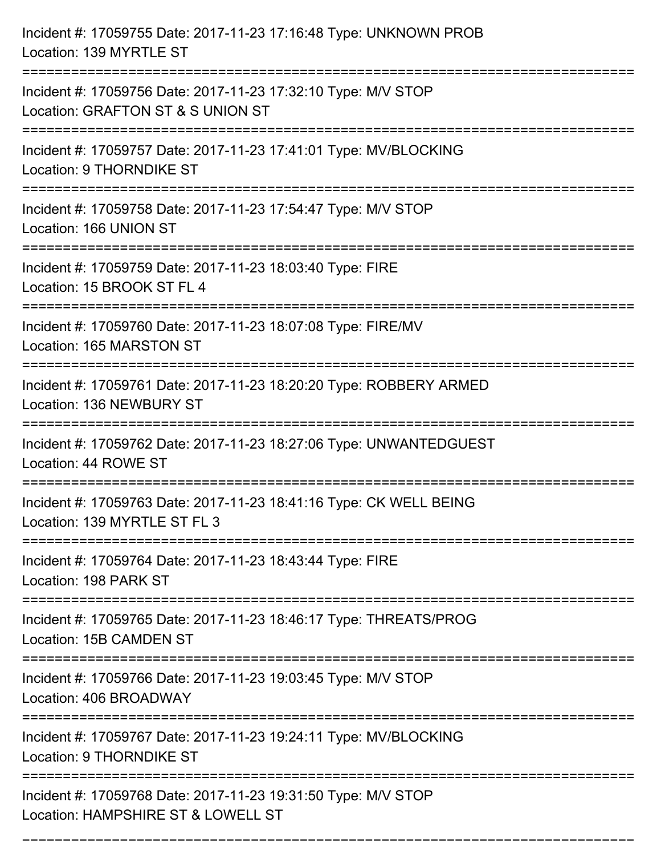| Incident #: 17059755 Date: 2017-11-23 17:16:48 Type: UNKNOWN PROB<br>Location: 139 MYRTLE ST                                                                            |
|-------------------------------------------------------------------------------------------------------------------------------------------------------------------------|
| Incident #: 17059756 Date: 2017-11-23 17:32:10 Type: M/V STOP<br>Location: GRAFTON ST & S UNION ST                                                                      |
| Incident #: 17059757 Date: 2017-11-23 17:41:01 Type: MV/BLOCKING<br><b>Location: 9 THORNDIKE ST</b>                                                                     |
| Incident #: 17059758 Date: 2017-11-23 17:54:47 Type: M/V STOP<br>Location: 166 UNION ST                                                                                 |
| Incident #: 17059759 Date: 2017-11-23 18:03:40 Type: FIRE<br>Location: 15 BROOK ST FL 4                                                                                 |
| Incident #: 17059760 Date: 2017-11-23 18:07:08 Type: FIRE/MV<br>Location: 165 MARSTON ST                                                                                |
| Incident #: 17059761 Date: 2017-11-23 18:20:20 Type: ROBBERY ARMED<br>Location: 136 NEWBURY ST                                                                          |
| Incident #: 17059762 Date: 2017-11-23 18:27:06 Type: UNWANTEDGUEST<br>Location: 44 ROWE ST                                                                              |
| Incident #: 17059763 Date: 2017-11-23 18:41:16 Type: CK WELL BEING<br>Location: 139 MYRTLE ST FL 3                                                                      |
| Incident #: 17059764 Date: 2017-11-23 18:43:44 Type: FIRE<br>Location: 198 PARK ST                                                                                      |
| :===============================<br>-----------------------------------<br>Incident #: 17059765 Date: 2017-11-23 18:46:17 Type: THREATS/PROG<br>Location: 15B CAMDEN ST |
| Incident #: 17059766 Date: 2017-11-23 19:03:45 Type: M/V STOP<br>Location: 406 BROADWAY                                                                                 |
| Incident #: 17059767 Date: 2017-11-23 19:24:11 Type: MV/BLOCKING<br>Location: 9 THORNDIKE ST                                                                            |
| Incident #: 17059768 Date: 2017-11-23 19:31:50 Type: M/V STOP<br>Location: HAMPSHIRE ST & LOWELL ST                                                                     |

===========================================================================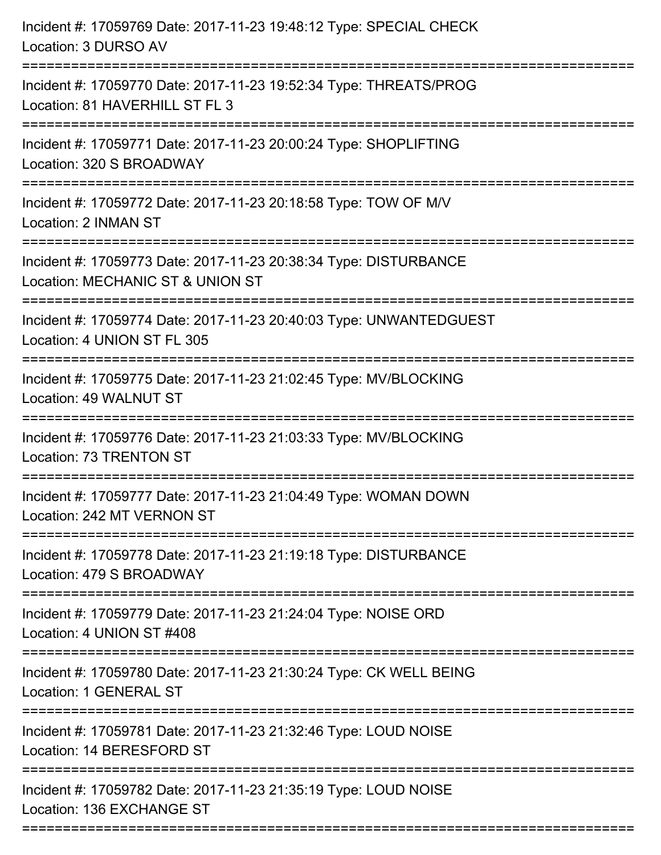| Incident #: 17059769 Date: 2017-11-23 19:48:12 Type: SPECIAL CHECK<br>Location: 3 DURSO AV           |
|------------------------------------------------------------------------------------------------------|
| Incident #: 17059770 Date: 2017-11-23 19:52:34 Type: THREATS/PROG<br>Location: 81 HAVERHILL ST FL 3  |
| Incident #: 17059771 Date: 2017-11-23 20:00:24 Type: SHOPLIFTING<br>Location: 320 S BROADWAY         |
| Incident #: 17059772 Date: 2017-11-23 20:18:58 Type: TOW OF M/V<br>Location: 2 INMAN ST              |
| Incident #: 17059773 Date: 2017-11-23 20:38:34 Type: DISTURBANCE<br>Location: MECHANIC ST & UNION ST |
| Incident #: 17059774 Date: 2017-11-23 20:40:03 Type: UNWANTEDGUEST<br>Location: 4 UNION ST FL 305    |
| Incident #: 17059775 Date: 2017-11-23 21:02:45 Type: MV/BLOCKING<br>Location: 49 WALNUT ST           |
| Incident #: 17059776 Date: 2017-11-23 21:03:33 Type: MV/BLOCKING<br>Location: 73 TRENTON ST          |
| Incident #: 17059777 Date: 2017-11-23 21:04:49 Type: WOMAN DOWN<br>Location: 242 MT VERNON ST        |
| Incident #: 17059778 Date: 2017-11-23 21:19:18 Type: DISTURBANCE<br>Location: 479 S BROADWAY         |
| Incident #: 17059779 Date: 2017-11-23 21:24:04 Type: NOISE ORD<br>Location: 4 UNION ST #408          |
| Incident #: 17059780 Date: 2017-11-23 21:30:24 Type: CK WELL BEING<br>Location: 1 GENERAL ST         |
| Incident #: 17059781 Date: 2017-11-23 21:32:46 Type: LOUD NOISE<br>Location: 14 BERESFORD ST         |
| Incident #: 17059782 Date: 2017-11-23 21:35:19 Type: LOUD NOISE<br>Location: 136 EXCHANGE ST         |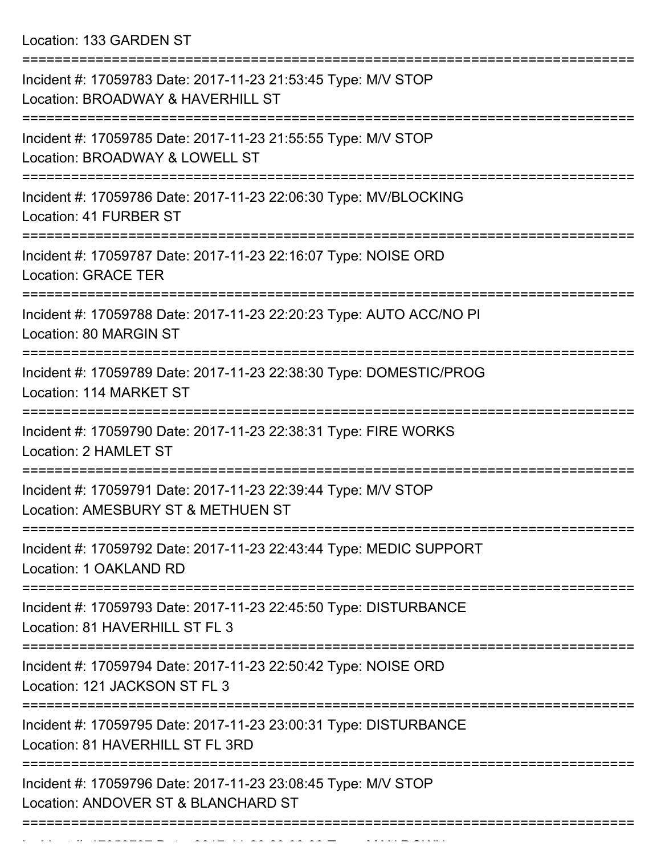Location: 133 GARDEN ST

| Incident #: 17059783 Date: 2017-11-23 21:53:45 Type: M/V STOP<br>Location: BROADWAY & HAVERHILL ST                            |
|-------------------------------------------------------------------------------------------------------------------------------|
| Incident #: 17059785 Date: 2017-11-23 21:55:55 Type: M/V STOP<br>Location: BROADWAY & LOWELL ST                               |
| Incident #: 17059786 Date: 2017-11-23 22:06:30 Type: MV/BLOCKING<br>Location: 41 FURBER ST                                    |
| Incident #: 17059787 Date: 2017-11-23 22:16:07 Type: NOISE ORD<br><b>Location: GRACE TER</b>                                  |
| Incident #: 17059788 Date: 2017-11-23 22:20:23 Type: AUTO ACC/NO PI<br>Location: 80 MARGIN ST                                 |
| Incident #: 17059789 Date: 2017-11-23 22:38:30 Type: DOMESTIC/PROG<br>Location: 114 MARKET ST                                 |
| Incident #: 17059790 Date: 2017-11-23 22:38:31 Type: FIRE WORKS<br>Location: 2 HAMLET ST                                      |
| Incident #: 17059791 Date: 2017-11-23 22:39:44 Type: M/V STOP<br>Location: AMESBURY ST & METHUEN ST                           |
| Incident #: 17059792 Date: 2017-11-23 22:43:44 Type: MEDIC SUPPORT<br>Location: 1 OAKLAND RD                                  |
| :======================<br>Incident #: 17059793 Date: 2017-11-23 22:45:50 Type: DISTURBANCE<br>Location: 81 HAVERHILL ST FL 3 |
| Incident #: 17059794 Date: 2017-11-23 22:50:42 Type: NOISE ORD<br>Location: 121 JACKSON ST FL 3                               |
| Incident #: 17059795 Date: 2017-11-23 23:00:31 Type: DISTURBANCE<br>Location: 81 HAVERHILL ST FL 3RD                          |
| Incident #: 17059796 Date: 2017-11-23 23:08:45 Type: M/V STOP<br>Location: ANDOVER ST & BLANCHARD ST                          |
|                                                                                                                               |